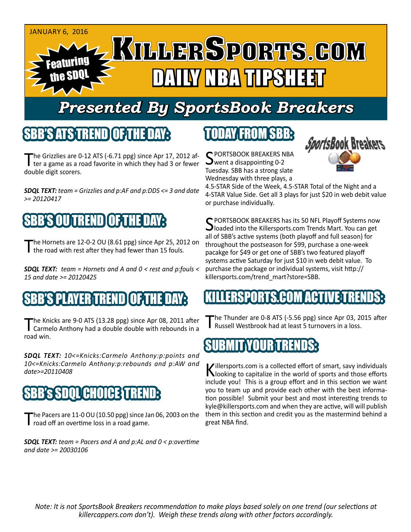

# *Presented By SportsBook Breakers*

#### SBB'S ATSTERIN

The Grizzlies are 0-12 ATS (-6.71 ppg) since Apr 17, 2012 af-<br>ter a game as a road favorite in which they had 3 or fewer double digit scorers.

*SDQL TEXT: team = Grizzlies and p:AF and p:DDS <= 3 and date >= 20120417*

# 'S OUTREND

The Hornets are 12-0-2 OU (8.61 ppg) since Apr 25, 2012 on the road with rest after they had fewer than 15 fouls.

*SDQL TEXT: team = Hornets and A and 0 < rest and p:fouls < 15 and date >= 20120425*

#### 'S PLAYER TREND I OF TH

The Knicks are 9-0 ATS (13.28 ppg) since Apr 08, 2011 after<br>Carmelo Anthony had a double double with rebounds in a road win.

*SDQL TEXT: 10<=Knicks:Carmelo Anthony:p:points and 10<=Knicks:Carmelo Anthony:p:rebounds and p:AW and date>=20110408*

## **SBB's SDQL CHOICE TREN**

The Pacers are 11-0 OU (10.50 ppg) since Jan 06, 2003 on the road off an overtime loss in a road game.

*SDQL TEXT: team = Pacers and A and p:AL and 0 < p:overtime and date >= 20030106*

## TODAY FROM SBB:

C PORTSBOOK BREAKERS NBA went a disappointing 0-2 Tuesday. SBB has a strong slate Wednesday with three plays, a



4.5-STAR Side of the Week, 4.5-STAR Total of the Night and a 4-STAR Value Side. Get all 3 plays for just \$20 in web debit value or purchase individually.

SPORTSBOOK BREAKERS has its 50 NFL Playoff Systems now  $\bigcup$ loaded into the Killersports.com Trends Mart. You can get all of SBB's active systems (both playoff and full season) for throughout the postseason for \$99, purchase a one-week pacakge for \$49 or get one of SBB's two featured playoff systems active Saturday for just \$10 in web debit value. To purchase the package or individual systems, visit http:// killersports.com/trend\_mart?store=SBB.

#### LLERSPORTS.COM ACTIVE T

The Thunder are 0-8 ATS (-5.56 ppg) since Apr 03, 2015 after Russell Westbrook had at least 5 turnovers in a loss.

#### SUBMIT YOUR TRENDS:

Killersports.com is a collected effort of smart, savy individuals<br>Nooking to capitalize in the world of sports and those efforts include you! This is a group effort and in this section we want you to team up and provide each other with the best information possible! Submit your best and most interesting trends to kyle@killersports.com and when they are active, will will publish them in this section and credit you as the mastermind behind a great NBA find.

*Note: It is not SportsBook Breakers recommendation to make plays based solely on one trend (our selections at killercappers.com don't). Weigh these trends along with other factors accordingly.*